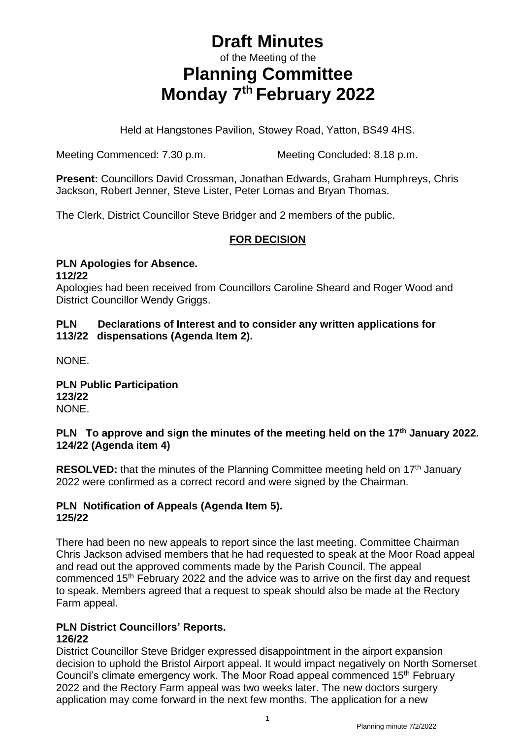# **Draft Minutes** of the Meeting of the **Planning Committee Monday 7 th February 2022**

Held at Hangstones Pavilion, Stowey Road, Yatton, BS49 4HS.

Meeting Commenced: 7.30 p.m. Meeting Concluded: 8.18 p.m.

**Present:** Councillors David Crossman, Jonathan Edwards, Graham Humphreys, Chris Jackson, Robert Jenner, Steve Lister, Peter Lomas and Bryan Thomas.

The Clerk, District Councillor Steve Bridger and 2 members of the public.

### **FOR DECISION**

#### **PLN Apologies for Absence. 112/22**

Apologies had been received from Councillors Caroline Sheard and Roger Wood and District Councillor Wendy Griggs.

### **PLN Declarations of Interest and to consider any written applications for 113/22 dispensations (Agenda Item 2).**

NONE.

**PLN Public Participation 123/22** NONE.

### **PLN To approve and sign the minutes of the meeting held on the 17th January 2022. 124/22 (Agenda item 4)**

**RESOLVED:** that the minutes of the Planning Committee meeting held on 17<sup>th</sup> January 2022 were confirmed as a correct record and were signed by the Chairman.

#### **PLN Notification of Appeals (Agenda Item 5). 125/22**

There had been no new appeals to report since the last meeting. Committee Chairman Chris Jackson advised members that he had requested to speak at the Moor Road appeal and read out the approved comments made by the Parish Council. The appeal commenced 15th February 2022 and the advice was to arrive on the first day and request to speak. Members agreed that a request to speak should also be made at the Rectory Farm appeal.

#### **PLN District Councillors' Reports. 126/22**

District Councillor Steve Bridger expressed disappointment in the airport expansion decision to uphold the Bristol Airport appeal. It would impact negatively on North Somerset Council's climate emergency work. The Moor Road appeal commenced 15<sup>th</sup> February 2022 and the Rectory Farm appeal was two weeks later. The new doctors surgery application may come forward in the next few months. The application for a new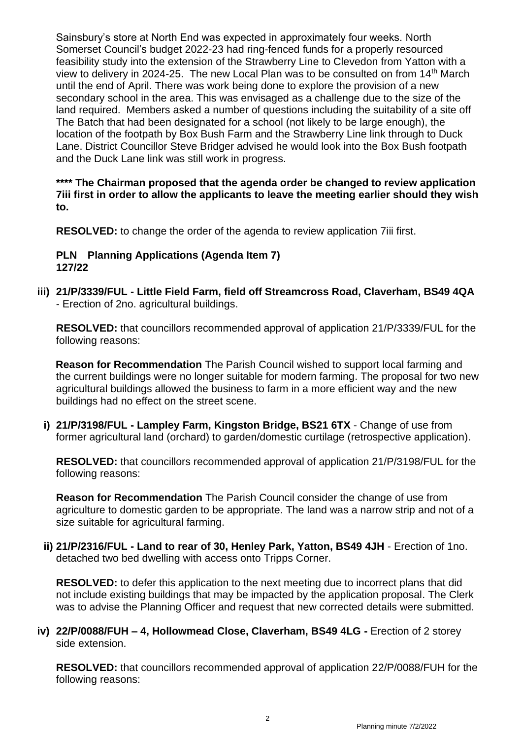Sainsbury's store at North End was expected in approximately four weeks. North Somerset Council's budget 2022-23 had ring-fenced funds for a properly resourced feasibility study into the extension of the Strawberry Line to Clevedon from Yatton with a view to delivery in 2024-25. The new Local Plan was to be consulted on from 14th March until the end of April. There was work being done to explore the provision of a new secondary school in the area. This was envisaged as a challenge due to the size of the land required. Members asked a number of questions including the suitability of a site off The Batch that had been designated for a school (not likely to be large enough), the location of the footpath by Box Bush Farm and the Strawberry Line link through to Duck Lane. District Councillor Steve Bridger advised he would look into the Box Bush footpath and the Duck Lane link was still work in progress.

**\*\*\*\* The Chairman proposed that the agenda order be changed to review application 7iii first in order to allow the applicants to leave the meeting earlier should they wish to.**

**RESOLVED:** to change the order of the agenda to review application 7iii first.

#### **PLN Planning Applications (Agenda Item 7) 127/22**

**iii) 21/P/3339/FUL - Little Field Farm, field off Streamcross Road, Claverham, BS49 4QA** - Erection of 2no. agricultural buildings.

**RESOLVED:** that councillors recommended approval of application 21/P/3339/FUL for the following reasons:

 **Reason for Recommendation** The Parish Council wished to support local farming and the current buildings were no longer suitable for modern farming. The proposal for two new agricultural buildings allowed the business to farm in a more efficient way and the new buildings had no effect on the street scene.

**i) 21/P/3198/FUL - Lampley Farm, Kingston Bridge, BS21 6TX** - Change of use from former agricultural land (orchard) to garden/domestic curtilage (retrospective application).

**RESOLVED:** that councillors recommended approval of application 21/P/3198/FUL for the following reasons:

**Reason for Recommendation** The Parish Council consider the change of use from agriculture to domestic garden to be appropriate. The land was a narrow strip and not of a size suitable for agricultural farming.

**ii) 21/P/2316/FUL - Land to rear of 30, Henley Park, Yatton, BS49 4JH** - Erection of 1no. detached two bed dwelling with access onto Tripps Corner.

**RESOLVED:** to defer this application to the next meeting due to incorrect plans that did not include existing buildings that may be impacted by the application proposal. The Clerk was to advise the Planning Officer and request that new corrected details were submitted.

**iv) 22/P/0088/FUH – 4, Hollowmead Close, Claverham, BS49 4LG -** Erection of 2 storey side extension.

**RESOLVED:** that councillors recommended approval of application 22/P/0088/FUH for the following reasons: